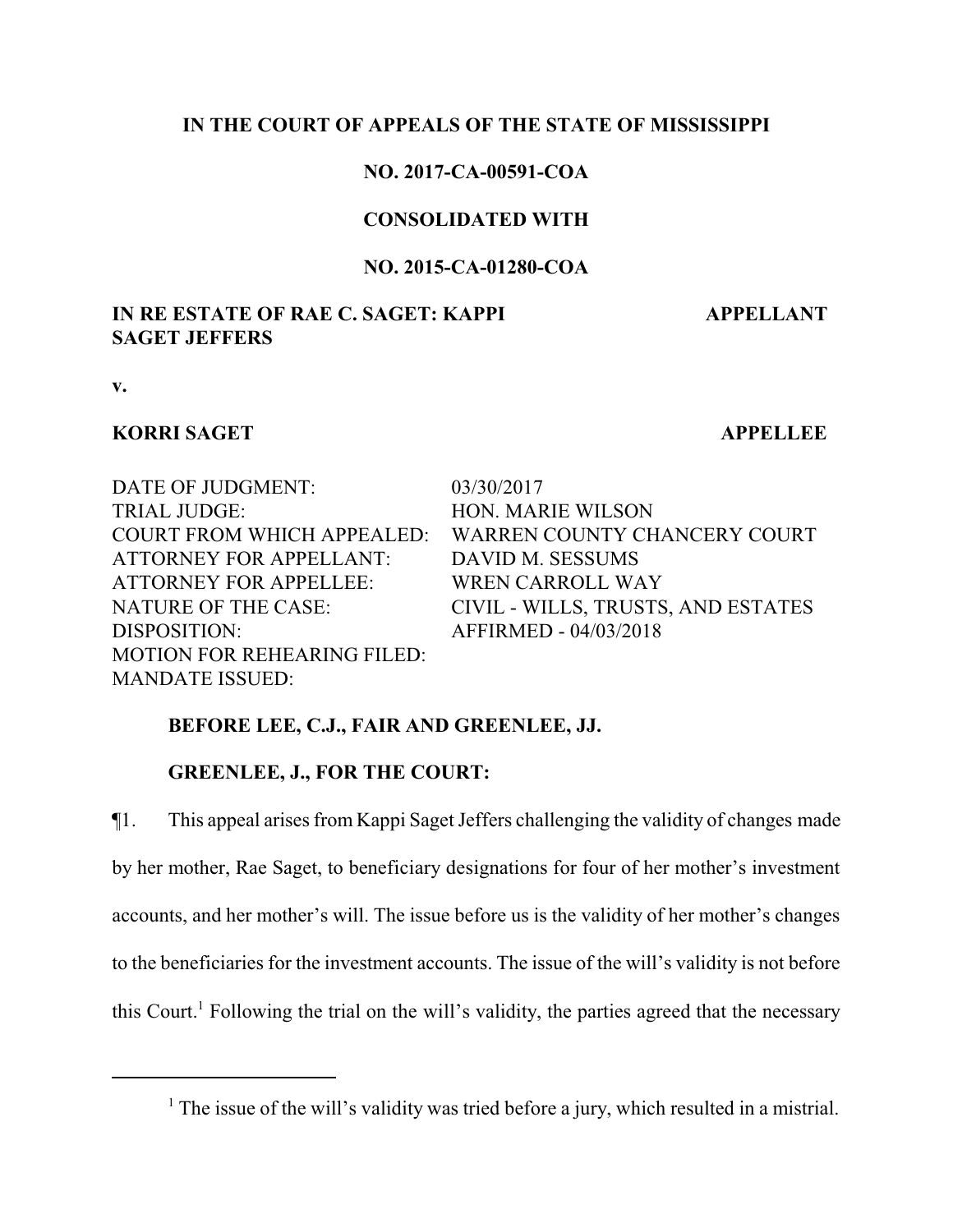## **IN THE COURT OF APPEALS OF THE STATE OF MISSISSIPPI**

## **NO. 2017-CA-00591-COA**

## **CONSOLIDATED WITH**

### **NO. 2015-CA-01280-COA**

## **IN RE ESTATE OF RAE C. SAGET: KAPPI SAGET JEFFERS**

 **APPELLANT**

**v.**

### **KORRI SAGET APPELLEE**

DATE OF JUDGMENT: 03/30/2017 TRIAL JUDGE: HON. MARIE WILSON ATTORNEY FOR APPELLANT: DAVID M. SESSUMS ATTORNEY FOR APPELLEE: WREN CARROLL WAY DISPOSITION: AFFIRMED - 04/03/2018 MOTION FOR REHEARING FILED: MANDATE ISSUED:

COURT FROM WHICH APPEALED: WARREN COUNTY CHANCERY COURT NATURE OF THE CASE: CIVIL - WILLS, TRUSTS, AND ESTATES

# **BEFORE LEE, C.J., FAIR AND GREENLEE, JJ.**

# **GREENLEE, J., FOR THE COURT:**

¶1. This appeal arises from Kappi Saget Jeffers challenging the validity of changes made by her mother, Rae Saget, to beneficiary designations for four of her mother's investment accounts, and her mother's will. The issue before us is the validity of her mother's changes to the beneficiaries for the investment accounts. The issue of the will's validity is not before this Court.<sup>1</sup> Following the trial on the will's validity, the parties agreed that the necessary

<sup>&</sup>lt;sup>1</sup> The issue of the will's validity was tried before a jury, which resulted in a mistrial.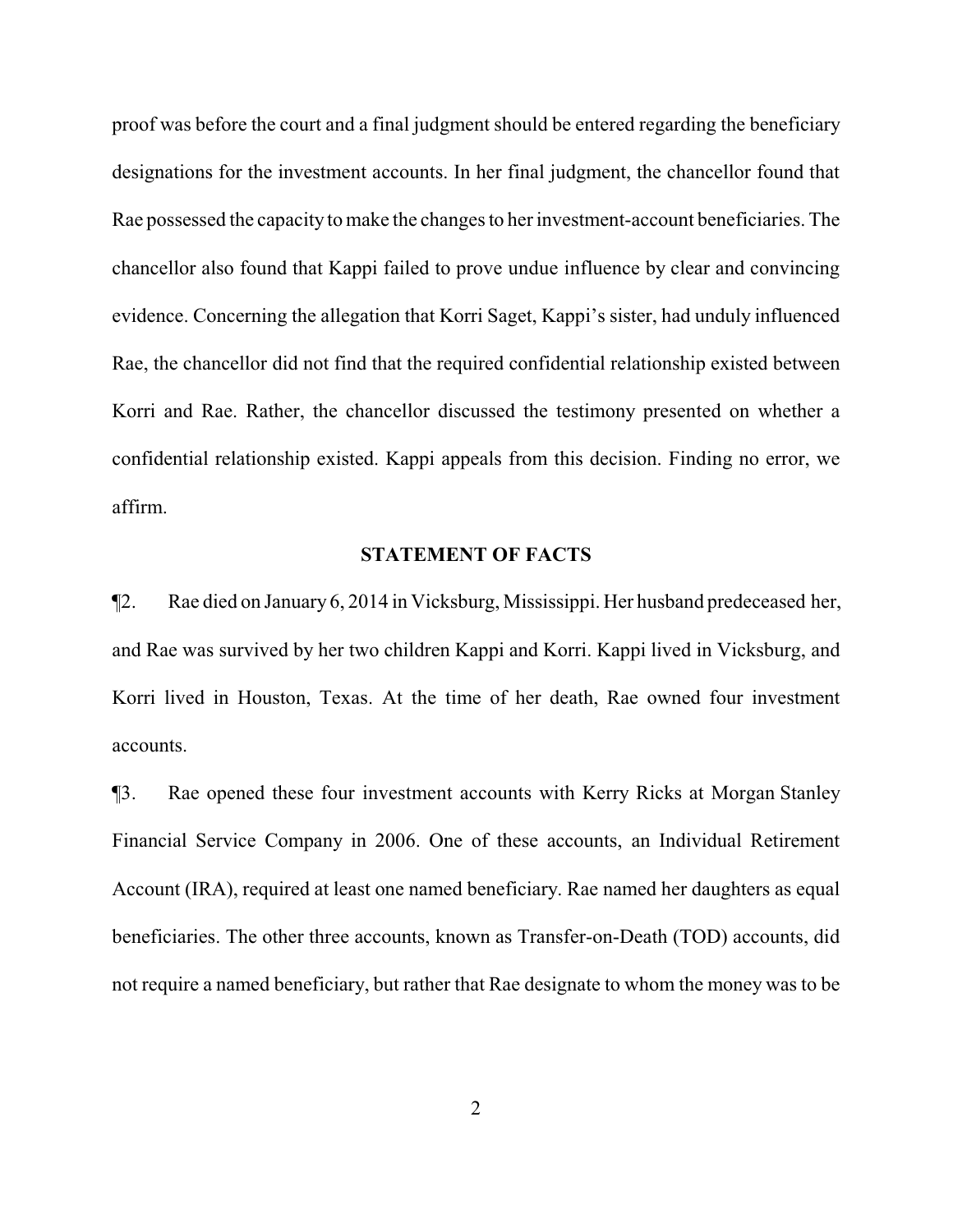proof was before the court and a final judgment should be entered regarding the beneficiary designations for the investment accounts. In her final judgment, the chancellor found that Rae possessed the capacity to make the changes to her investment-account beneficiaries. The chancellor also found that Kappi failed to prove undue influence by clear and convincing evidence. Concerning the allegation that Korri Saget, Kappi's sister, had unduly influenced Rae, the chancellor did not find that the required confidential relationship existed between Korri and Rae. Rather, the chancellor discussed the testimony presented on whether a confidential relationship existed. Kappi appeals from this decision. Finding no error, we affirm.

#### **STATEMENT OF FACTS**

¶2. Rae died on January 6, 2014 in Vicksburg, Mississippi. Her husband predeceased her, and Rae was survived by her two children Kappi and Korri. Kappi lived in Vicksburg, and Korri lived in Houston, Texas. At the time of her death, Rae owned four investment accounts.

¶3. Rae opened these four investment accounts with Kerry Ricks at Morgan Stanley Financial Service Company in 2006. One of these accounts, an Individual Retirement Account (IRA), required at least one named beneficiary. Rae named her daughters as equal beneficiaries. The other three accounts, known as Transfer-on-Death (TOD) accounts, did not require a named beneficiary, but rather that Rae designate to whom the money was to be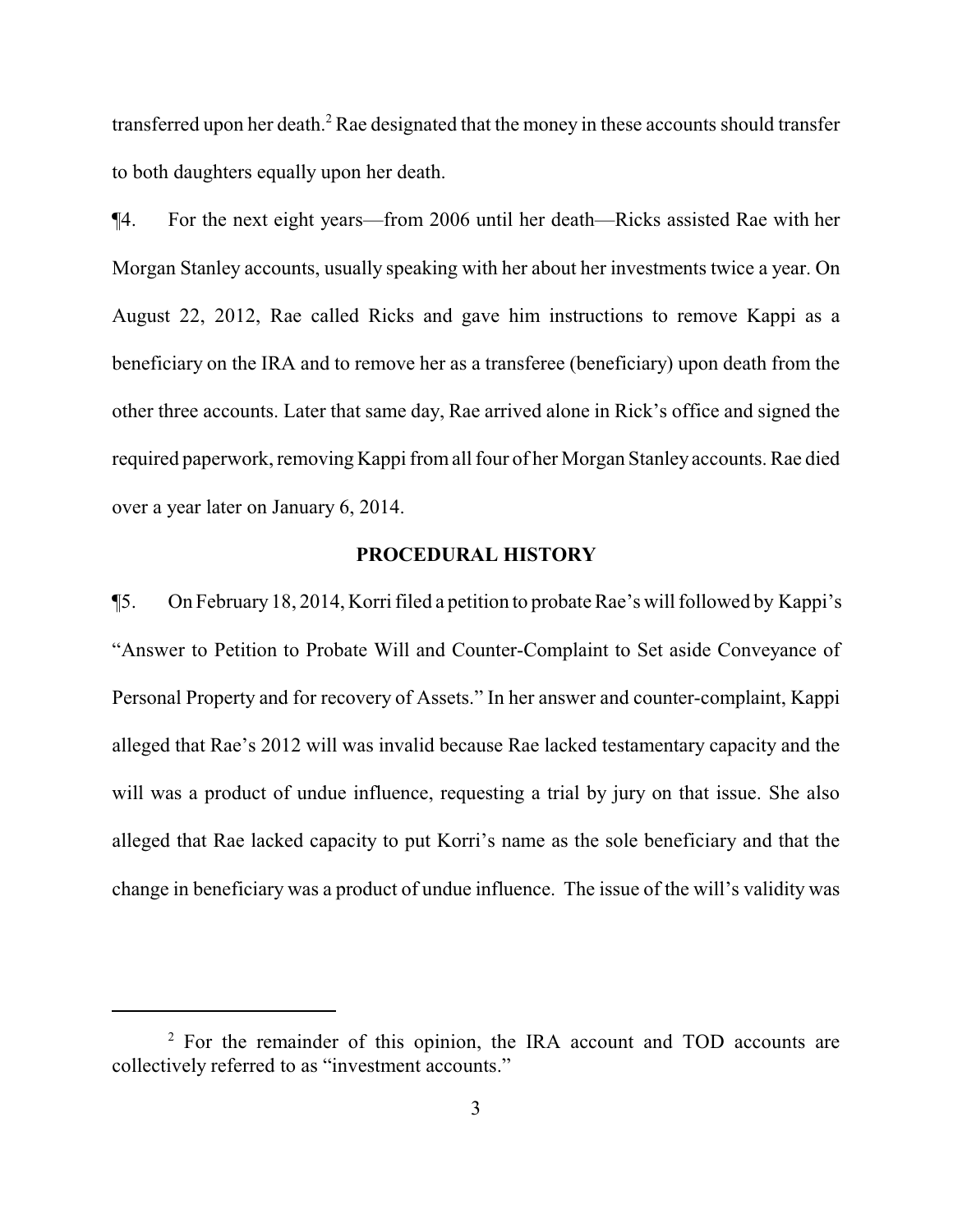transferred upon her death.<sup>2</sup> Rae designated that the money in these accounts should transfer to both daughters equally upon her death.

¶4. For the next eight years—from 2006 until her death—Ricks assisted Rae with her Morgan Stanley accounts, usually speaking with her about her investments twice a year. On August 22, 2012, Rae called Ricks and gave him instructions to remove Kappi as a beneficiary on the IRA and to remove her as a transferee (beneficiary) upon death from the other three accounts. Later that same day, Rae arrived alone in Rick's office and signed the required paperwork, removing Kappi fromall four of her Morgan Stanley accounts. Rae died over a year later on January 6, 2014.

### **PROCEDURAL HISTORY**

¶5. On February 18, 2014, Korri filed a petition to probate Rae's will followed by Kappi's "Answer to Petition to Probate Will and Counter-Complaint to Set aside Conveyance of Personal Property and for recovery of Assets." In her answer and counter-complaint, Kappi alleged that Rae's 2012 will was invalid because Rae lacked testamentary capacity and the will was a product of undue influence, requesting a trial by jury on that issue. She also alleged that Rae lacked capacity to put Korri's name as the sole beneficiary and that the change in beneficiary was a product of undue influence. The issue of the will's validity was

<sup>&</sup>lt;sup>2</sup> For the remainder of this opinion, the IRA account and TOD accounts are collectively referred to as "investment accounts."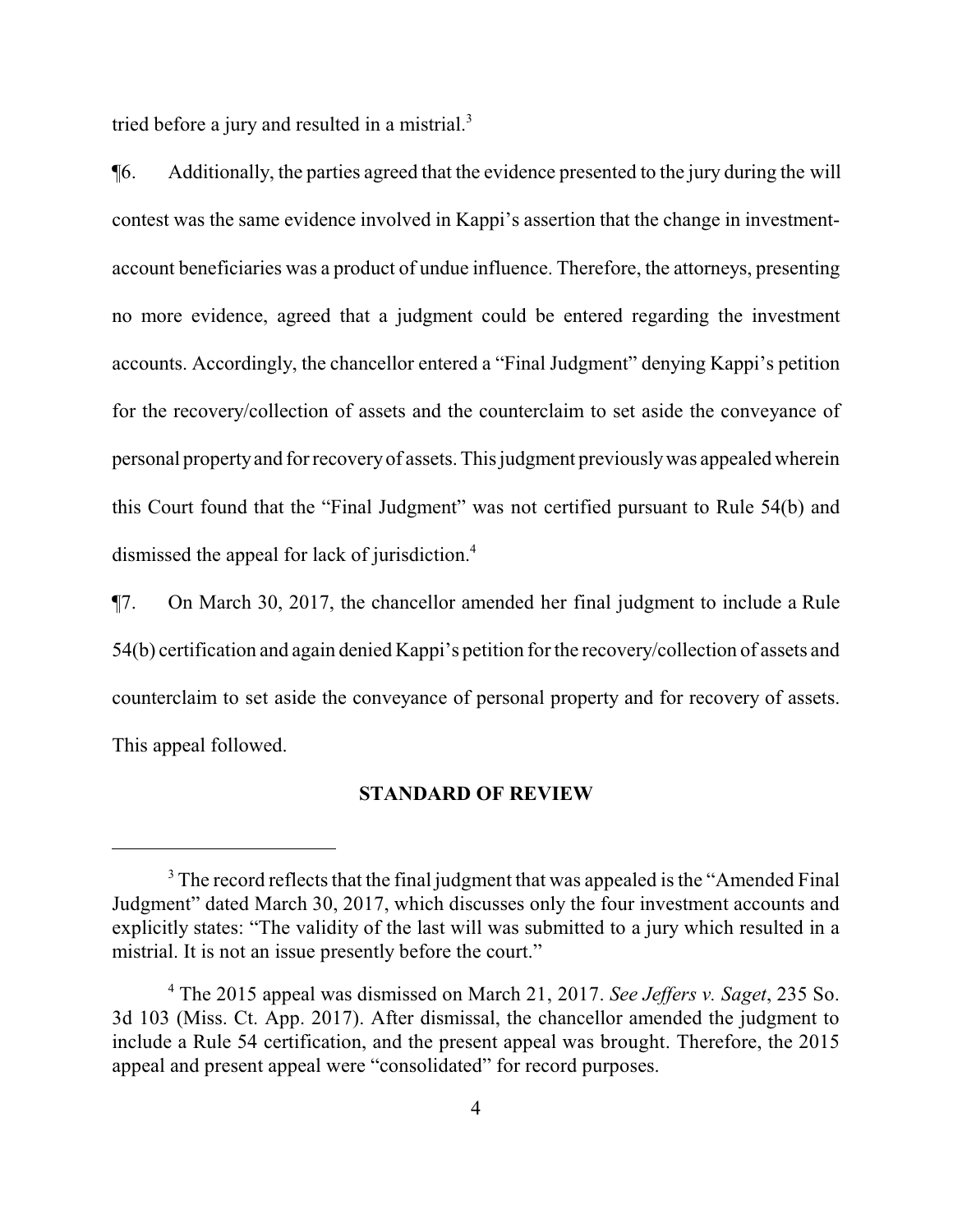tried before a jury and resulted in a mistrial.<sup>3</sup>

¶6. Additionally, the parties agreed that the evidence presented to the jury during the will contest was the same evidence involved in Kappi's assertion that the change in investmentaccount beneficiaries was a product of undue influence. Therefore, the attorneys, presenting no more evidence, agreed that a judgment could be entered regarding the investment accounts. Accordingly, the chancellor entered a "Final Judgment" denying Kappi's petition for the recovery/collection of assets and the counterclaim to set aside the conveyance of personal propertyand for recoveryof assets. This judgment previouslywas appealed wherein this Court found that the "Final Judgment" was not certified pursuant to Rule 54(b) and dismissed the appeal for lack of jurisdiction.<sup>4</sup>

¶7. On March 30, 2017, the chancellor amended her final judgment to include a Rule 54(b) certification and again denied Kappi's petition for the recovery/collection of assets and counterclaim to set aside the conveyance of personal property and for recovery of assets. This appeal followed.

#### **STANDARD OF REVIEW**

<sup>&</sup>lt;sup>3</sup> The record reflects that the final judgment that was appealed is the "Amended Final" Judgment" dated March 30, 2017, which discusses only the four investment accounts and explicitly states: "The validity of the last will was submitted to a jury which resulted in a mistrial. It is not an issue presently before the court."

<sup>4</sup> The 2015 appeal was dismissed on March 21, 2017. *See Jeffers v. Saget*, 235 So. 3d 103 (Miss. Ct. App. 2017). After dismissal, the chancellor amended the judgment to include a Rule 54 certification, and the present appeal was brought. Therefore, the 2015 appeal and present appeal were "consolidated" for record purposes.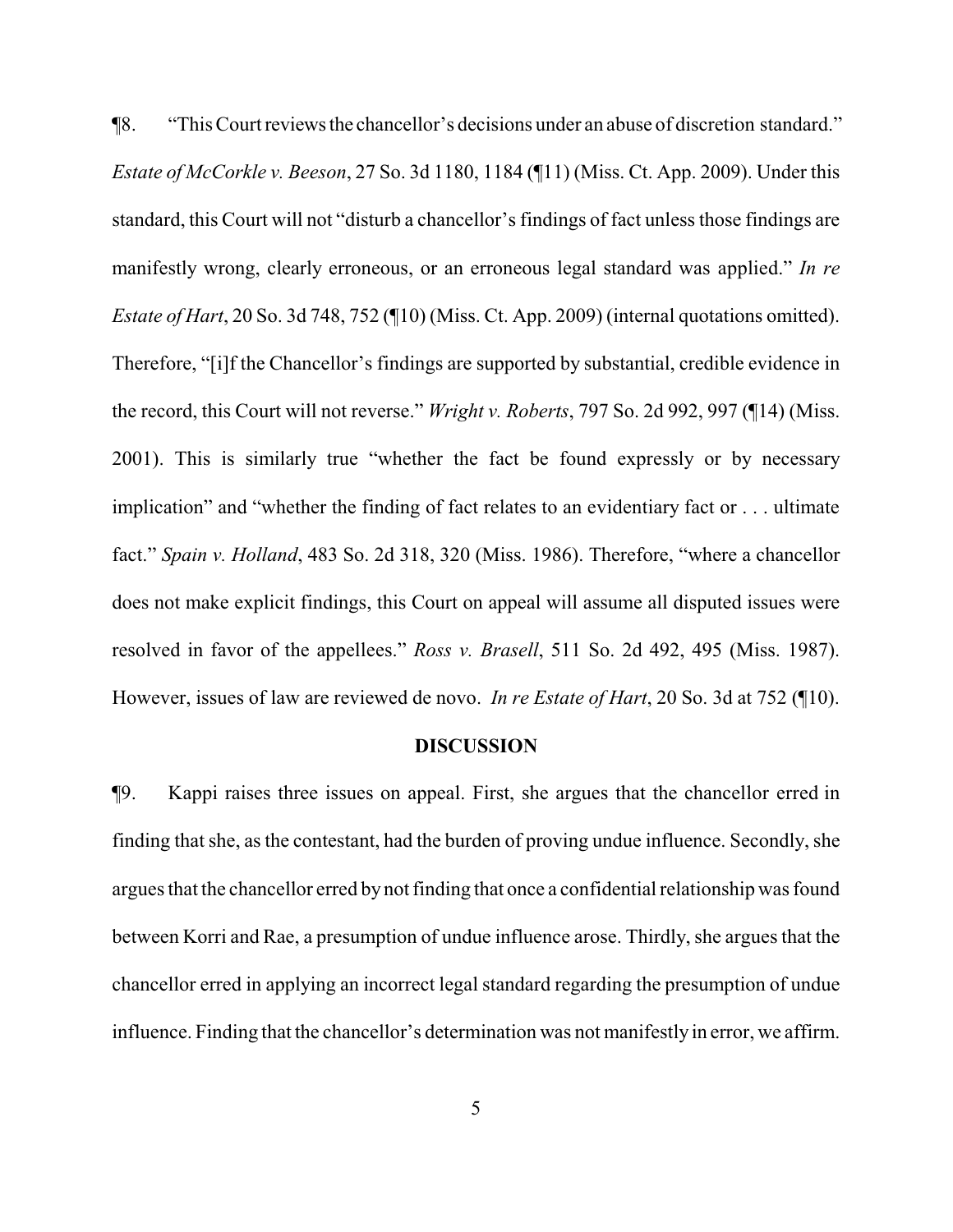¶8. "This Court reviewsthe chancellor's decisions under an abuse of discretion standard." *Estate of McCorkle v. Beeson*, 27 So. 3d 1180, 1184 (¶11) (Miss. Ct. App. 2009). Under this standard, this Court will not "disturb a chancellor's findings of fact unless those findings are manifestly wrong, clearly erroneous, or an erroneous legal standard was applied." *In re Estate of Hart*, 20 So. 3d 748, 752 (¶10) (Miss. Ct. App. 2009) (internal quotations omitted). Therefore, "[i]f the Chancellor's findings are supported by substantial, credible evidence in the record, this Court will not reverse." *Wright v. Roberts*, 797 So. 2d 992, 997 (¶14) (Miss. 2001). This is similarly true "whether the fact be found expressly or by necessary implication" and "whether the finding of fact relates to an evidentiary fact or . . . ultimate fact." *Spain v. Holland*, 483 So. 2d 318, 320 (Miss. 1986). Therefore, "where a chancellor does not make explicit findings, this Court on appeal will assume all disputed issues were resolved in favor of the appellees." *Ross v. Brasell*, 511 So. 2d 492, 495 (Miss. 1987). However, issues of law are reviewed de novo. *In re Estate of Hart*, 20 So. 3d at 752 (¶10).

#### **DISCUSSION**

¶9. Kappi raises three issues on appeal. First, she argues that the chancellor erred in finding that she, as the contestant, had the burden of proving undue influence. Secondly, she argues that the chancellor erred by not finding that once a confidential relationship was found between Korri and Rae, a presumption of undue influence arose. Thirdly, she argues that the chancellor erred in applying an incorrect legal standard regarding the presumption of undue influence. Finding that the chancellor's determination was not manifestly in error, we affirm.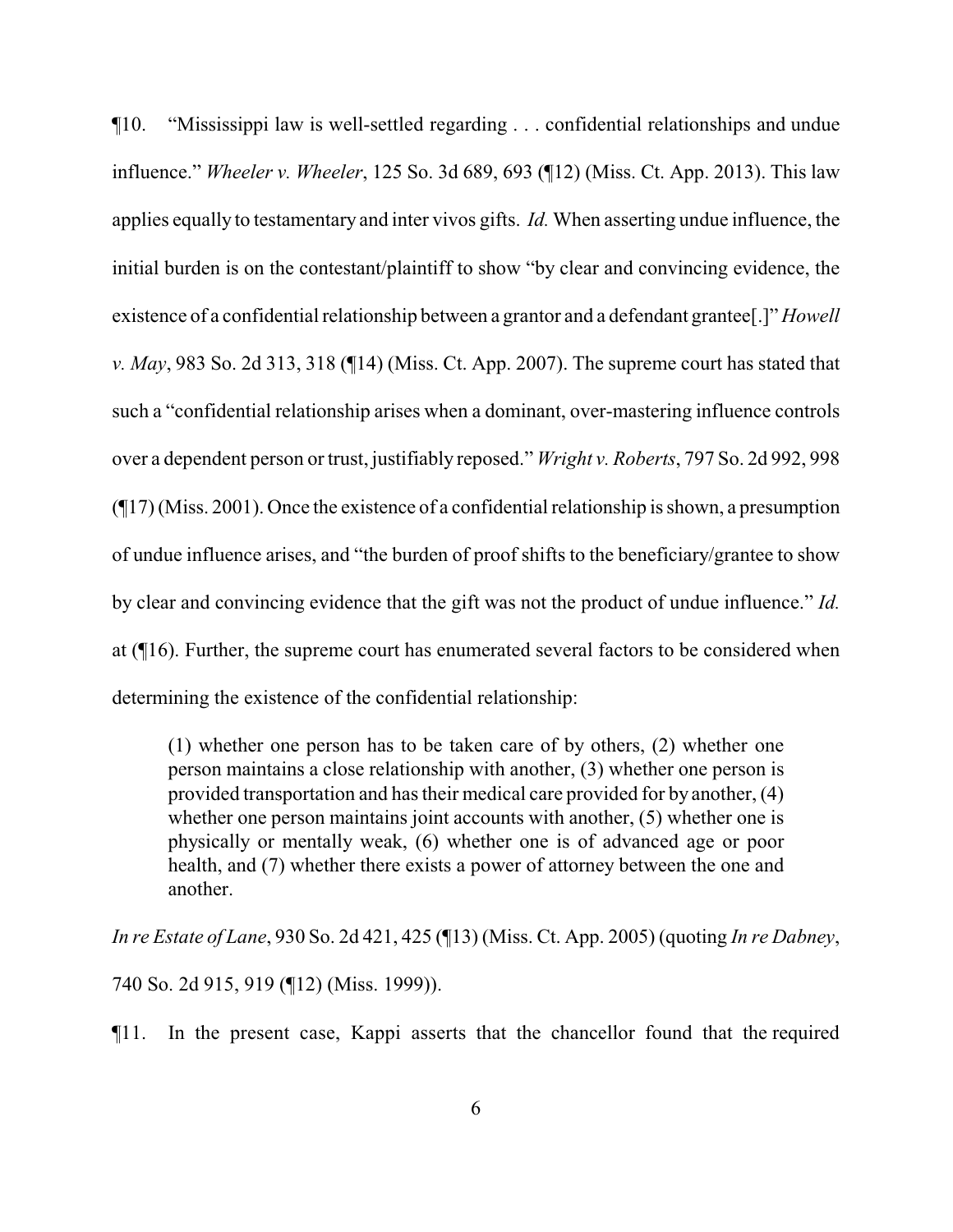¶10. "Mississippi law is well-settled regarding . . . confidential relationships and undue influence." *Wheeler v. Wheeler*, 125 So. 3d 689, 693 (¶12) (Miss. Ct. App. 2013). This law applies equally to testamentary and inter vivos gifts. *Id.* When asserting undue influence, the initial burden is on the contestant/plaintiff to show "by clear and convincing evidence, the existence of a confidential relationship between a grantor and a defendant grantee[.]" *Howell v. May*, 983 So. 2d 313, 318 (¶14) (Miss. Ct. App. 2007). The supreme court has stated that such a "confidential relationship arises when a dominant, over-mastering influence controls over a dependent person or trust, justifiably reposed." *Wright v. Roberts*, 797 So. 2d 992, 998 (¶17) (Miss. 2001). Once the existence of a confidential relationship is shown, a presumption of undue influence arises, and "the burden of proof shifts to the beneficiary/grantee to show by clear and convincing evidence that the gift was not the product of undue influence." *Id.*  at (¶16). Further, the supreme court has enumerated several factors to be considered when determining the existence of the confidential relationship:

(1) whether one person has to be taken care of by others, (2) whether one person maintains a close relationship with another, (3) whether one person is provided transportation and has their medical care provided for by another, (4) whether one person maintains joint accounts with another, (5) whether one is physically or mentally weak, (6) whether one is of advanced age or poor health, and (7) whether there exists a power of attorney between the one and another.

*In re Estate of Lane*, 930 So. 2d 421, 425 (¶13) (Miss. Ct. App. 2005) (quoting *In re Dabney*, 740 So. 2d 915, 919 (¶12) (Miss. 1999)).

¶11. In the present case, Kappi asserts that the chancellor found that the required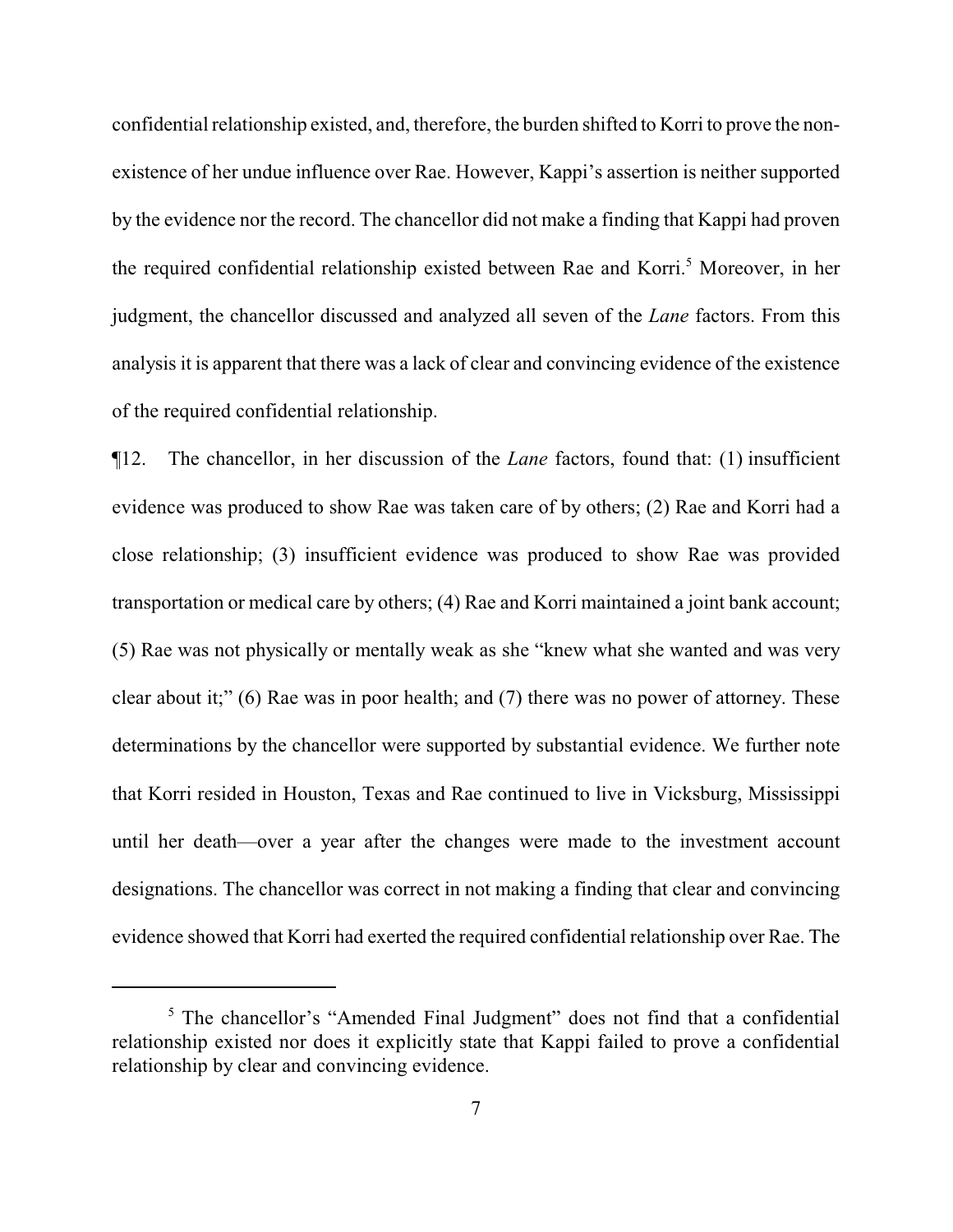confidential relationship existed, and, therefore, the burden shifted to Korri to prove the nonexistence of her undue influence over Rae. However, Kappi's assertion is neither supported by the evidence nor the record. The chancellor did not make a finding that Kappi had proven the required confidential relationship existed between Rae and Korri.<sup>5</sup> Moreover, in her judgment, the chancellor discussed and analyzed all seven of the *Lane* factors. From this analysis it is apparent that there was a lack of clear and convincing evidence of the existence of the required confidential relationship.

¶12. The chancellor, in her discussion of the *Lane* factors, found that: (1) insufficient evidence was produced to show Rae was taken care of by others; (2) Rae and Korri had a close relationship; (3) insufficient evidence was produced to show Rae was provided transportation or medical care by others; (4) Rae and Korri maintained a joint bank account; (5) Rae was not physically or mentally weak as she "knew what she wanted and was very clear about it;" (6) Rae was in poor health; and (7) there was no power of attorney. These determinations by the chancellor were supported by substantial evidence. We further note that Korri resided in Houston, Texas and Rae continued to live in Vicksburg, Mississippi until her death—over a year after the changes were made to the investment account designations. The chancellor was correct in not making a finding that clear and convincing evidence showed that Korri had exerted the required confidential relationship over Rae. The

<sup>&</sup>lt;sup>5</sup> The chancellor's "Amended Final Judgment" does not find that a confidential relationship existed nor does it explicitly state that Kappi failed to prove a confidential relationship by clear and convincing evidence.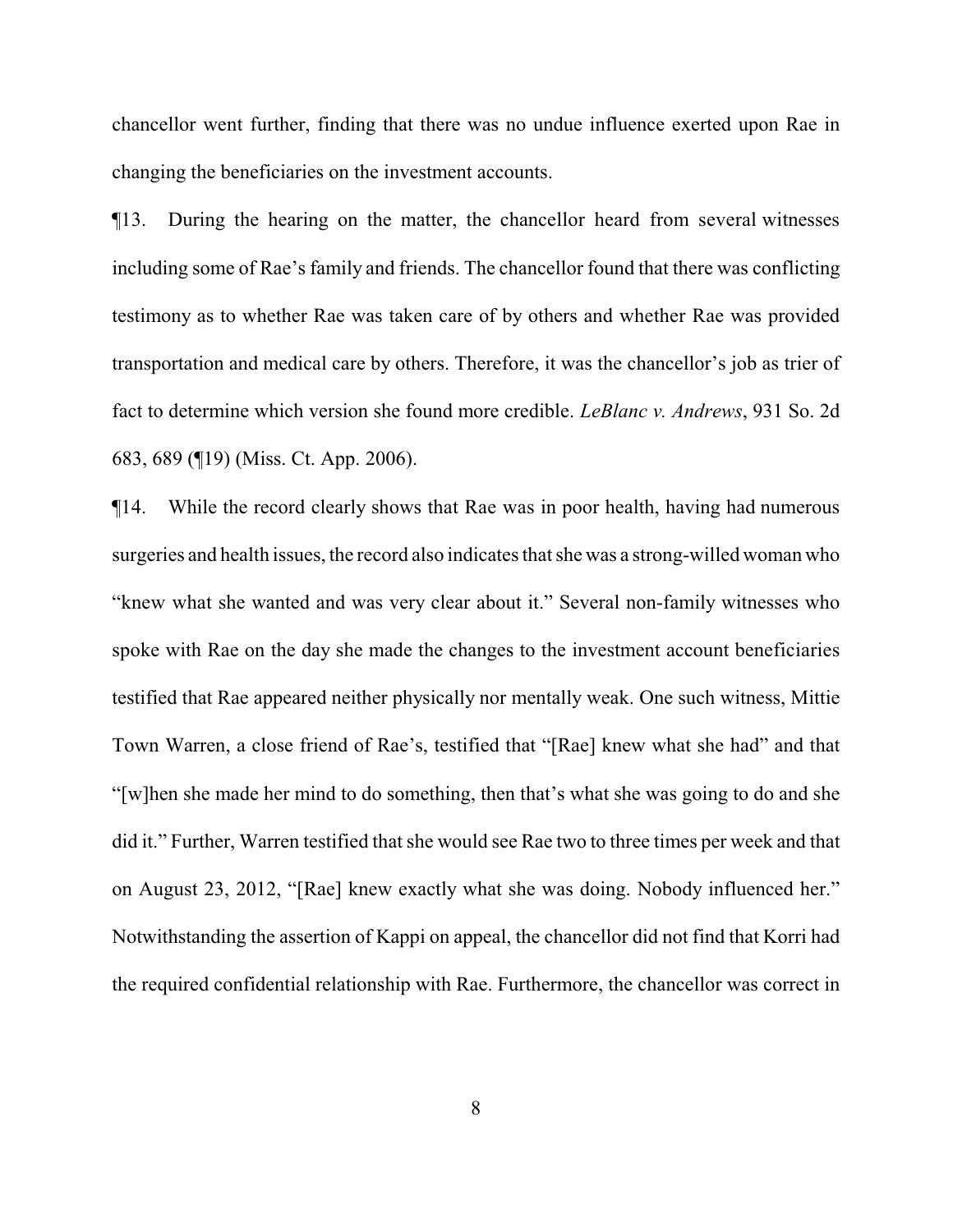chancellor went further, finding that there was no undue influence exerted upon Rae in changing the beneficiaries on the investment accounts.

¶13. During the hearing on the matter, the chancellor heard from several witnesses including some of Rae's family and friends. The chancellor found that there was conflicting testimony as to whether Rae was taken care of by others and whether Rae was provided transportation and medical care by others. Therefore, it was the chancellor's job as trier of fact to determine which version she found more credible. *LeBlanc v. Andrews*, 931 So. 2d 683, 689 (¶19) (Miss. Ct. App. 2006).

¶14. While the record clearly shows that Rae was in poor health, having had numerous surgeries and health issues, the record also indicates that she was a strong-willed woman who "knew what she wanted and was very clear about it." Several non-family witnesses who spoke with Rae on the day she made the changes to the investment account beneficiaries testified that Rae appeared neither physically nor mentally weak. One such witness, Mittie Town Warren, a close friend of Rae's, testified that "[Rae] knew what she had" and that "[w]hen she made her mind to do something, then that's what she was going to do and she did it." Further, Warren testified that she would see Rae two to three times per week and that on August 23, 2012, "[Rae] knew exactly what she was doing. Nobody influenced her." Notwithstanding the assertion of Kappi on appeal, the chancellor did not find that Korri had the required confidential relationship with Rae. Furthermore, the chancellor was correct in